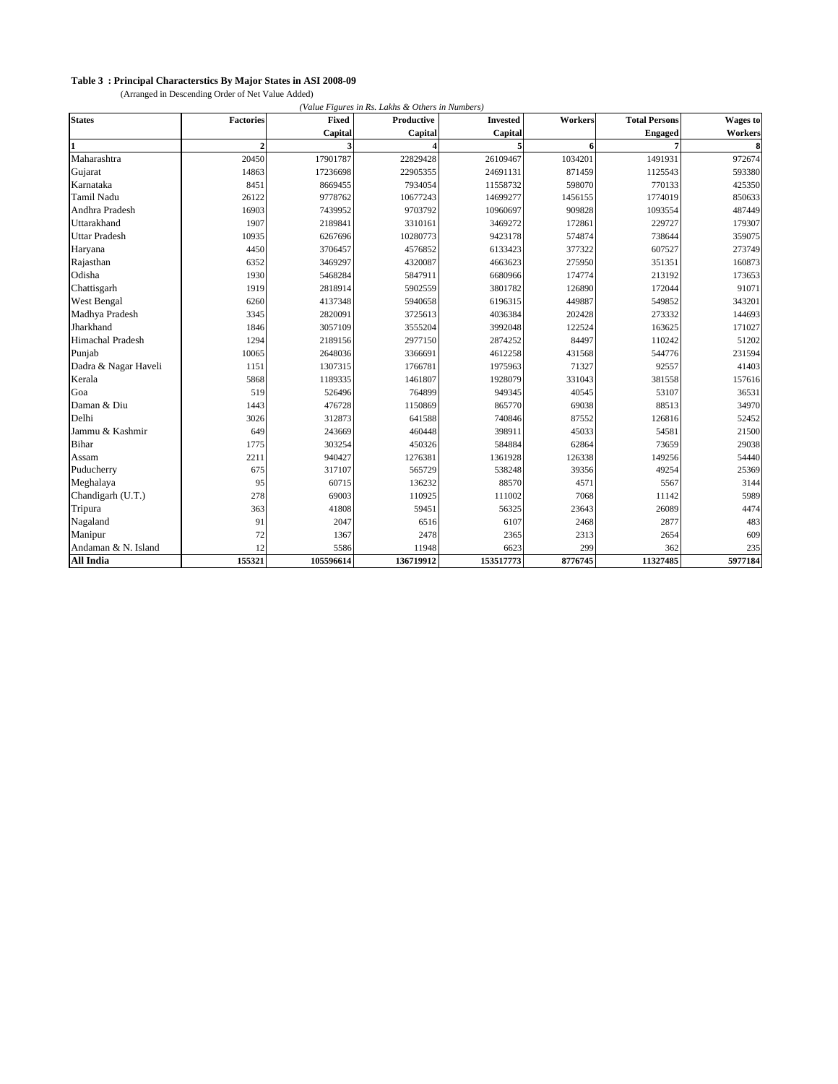## **Table 3 : Principal Characterstics By Major States in ASI 2008-09**

(Arranged in Descending Order of Net Value Added)

| <b>States</b>           | <b>Factories</b> | <b>Fixed</b> | Productive | <b>Invested</b> | Workers | <b>Total Persons</b> | <b>Wages</b> to |
|-------------------------|------------------|--------------|------------|-----------------|---------|----------------------|-----------------|
|                         |                  | Capital      | Capital    | Capital         |         | <b>Engaged</b>       | Workers         |
|                         | $\overline{2}$   |              |            | 5               | 6       |                      | 8               |
| Maharashtra             | 20450            | 17901787     | 22829428   | 26109467        | 1034201 | 1491931              | 972674          |
| Gujarat                 | 14863            | 17236698     | 22905355   | 24691131        | 871459  | 1125543              | 593380          |
| Karnataka               | 8451             | 8669455      | 7934054    | 11558732        | 598070  | 770133               | 425350          |
| <b>Tamil Nadu</b>       | 26122            | 9778762      | 10677243   | 14699277        | 1456155 | 1774019              | 850633          |
| Andhra Pradesh          | 16903            | 7439952      | 9703792    | 10960697        | 909828  | 1093554              | 487449          |
| Uttarakhand             | 1907             | 2189841      | 3310161    | 3469272         | 172861  | 229727               | 179307          |
| <b>Uttar Pradesh</b>    | 10935            | 6267696      | 10280773   | 9423178         | 574874  | 738644               | 359075          |
| Haryana                 | 4450             | 3706457      | 4576852    | 6133423         | 377322  | 607527               | 273749          |
| Rajasthan               | 6352             | 3469297      | 4320087    | 4663623         | 275950  | 351351               | 160873          |
| Odisha                  | 1930             | 5468284      | 5847911    | 6680966         | 174774  | 213192               | 173653          |
| Chattisgarh             | 1919             | 2818914      | 5902559    | 3801782         | 126890  | 172044               | 91071           |
| <b>West Bengal</b>      | 6260             | 4137348      | 5940658    | 6196315         | 449887  | 549852               | 343201          |
| Madhya Pradesh          | 3345             | 2820091      | 3725613    | 4036384         | 202428  | 273332               | 144693          |
| Jharkhand               | 1846             | 3057109      | 3555204    | 3992048         | 122524  | 163625               | 171027          |
| <b>Himachal Pradesh</b> | 1294             | 2189156      | 2977150    | 2874252         | 84497   | 110242               | 51202           |
| Punjab                  | 10065            | 2648036      | 3366691    | 4612258         | 431568  | 544776               | 231594          |
| Dadra & Nagar Haveli    | 1151             | 1307315      | 1766781    | 1975963         | 71327   | 92557                | 41403           |
| Kerala                  | 5868             | 1189335      | 1461807    | 1928079         | 331043  | 381558               | 157616          |
| Goa                     | 519              | 526496       | 764899     | 949345          | 40545   | 53107                | 36531           |
| Daman & Diu             | 1443             | 476728       | 1150869    | 865770          | 69038   | 88513                | 34970           |
| Delhi                   | 3026             | 312873       | 641588     | 740846          | 87552   | 126816               | 52452           |
| Jammu & Kashmir         | 649              | 243669       | 460448     | 398911          | 45033   | 54581                | 21500           |
| Bihar                   | 1775             | 303254       | 450326     | 584884          | 62864   | 73659                | 29038           |
| Assam                   | 2211             | 940427       | 1276381    | 1361928         | 126338  | 149256               | 54440           |
| Puducherry              | 675              | 317107       | 565729     | 538248          | 39356   | 49254                | 25369           |
| Meghalaya               | 95               | 60715        | 136232     | 88570           | 4571    | 5567                 | 3144            |
| Chandigarh (U.T.)       | 278              | 69003        | 110925     | 111002          | 7068    | 11142                | 5989            |
| Tripura                 | 363              | 41808        | 59451      | 56325           | 23643   | 26089                | 4474            |
| Nagaland                | 91               | 2047         | 6516       | 6107            | 2468    | 2877                 | 483             |
| Manipur                 | 72               | 1367         | 2478       | 2365            | 2313    | 2654                 | 609             |
| Andaman & N. Island     | 12               | 5586         | 11948      | 6623            | 299     | 362                  | 235             |
| <b>All India</b>        | 155321           | 105596614    | 136719912  | 153517773       | 8776745 | 11327485             | 5977184         |